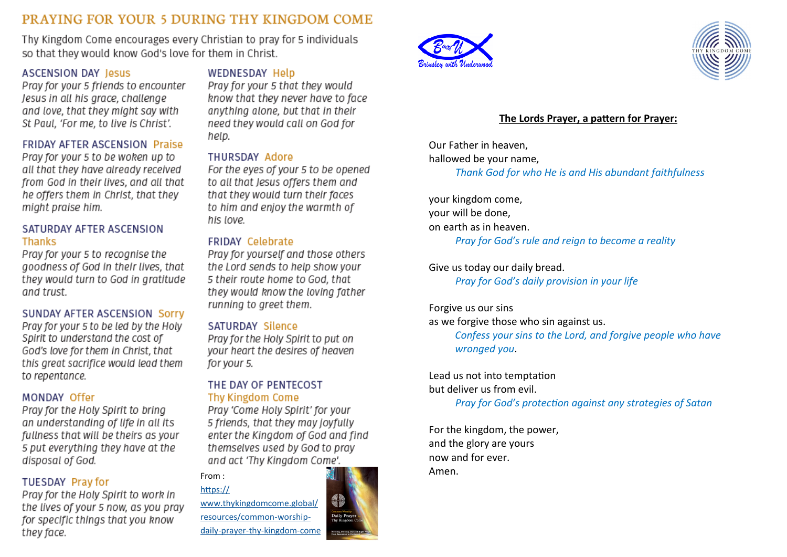# PRAYING FOR YOUR 5 DURING THY KINGDOM COME

Thy Kingdom Come encourages every Christian to pray for 5 individuals so that they would know God's love for them in Christ.

# **ASCENSION DAY Jesus**

Pray for your 5 friends to encounter Jesus in all his arace, challenge and love, that they might say with St Paul, 'For me, to live is Christ'.

### **FRIDAY AFTER ASCENSION Praise**

Pray for your 5 to be woken up to all that they have already received from God in their lives, and all that he offers them in Christ, that they might praise him.

### SATURDAY AFTER ASCENSION **Thanks**

Pray for your 5 to recognise the goodness of God in their lives, that they would turn to God in gratitude and trust.

### SUNDAY AFTER ASCENSION Sorry

Pray for your 5 to be led by the Holy Spirit to understand the cost of God's love for them in Christ, that this great sacrifice would lead them to repentance.

# MONDAY Offer

Pray for the Holy Spirit to bring an understanding of life in all its fullness that will be theirs as your 5 put everything they have at the disposal of God.

# **TUESDAY Pray for**

Pray for the Holy Spirit to work in the lives of your 5 now, as you pray for specific things that you know they face.

### **WEDNESDAY Help**

Pray for your 5 that they would know that they never have to face anything alone, but that in their need they would call on God for help.

#### THURSDAY Adore

For the eyes of your 5 to be opened to all that Jesus offers them and that they would turn their faces to him and enjoy the warmth of his love.

## **FRIDAY Celebrate**

Pray for yourself and those others the Lord sends to help show your 5 their route home to God, that they would know the loving father running to greet them.

### SATURDAY Silence

Pray for the Holy Spirit to put on your heart the desires of heaven for your 5.

# THE DAY OF PENTECOST Thy Kingdom Come

Pray 'Come Holy Spirit' for your 5 friends, that they may joyfully enter the Kingdom of God and find themselves used by God to pray and act 'Thy Kingdom Come'.

From :

[https://](https://www.thykingdomcome.global/resources/common-worship-daily-prayer-thy-kingdom-come) [www.thykingdomcome.global/](https://www.thykingdomcome.global/resources/common-worship-daily-prayer-thy-kingdom-come) [resources/common](https://www.thykingdomcome.global/resources/common-worship-daily-prayer-thy-kingdom-come)-worshipdaily-prayer-thy-[kingdom](https://www.thykingdomcome.global/resources/common-worship-daily-prayer-thy-kingdom-come)-come



# **The Lords Prayer, a pattern for Prayer:**

Our Father in heaven, hallowed be your name, *Thank God for who He is and His abundant faithfulness*

your kingdom come, your will be done, on earth as in heaven. *Pray for God's rule and reign to become a reality*

Give us today our daily bread. *Pray for God's daily provision in your life*

### Forgive us our sins

as we forgive those who sin against us.

*Confess your sins to the Lord, and forgive people who have wronged you*.

#### Lead us not into temptation but deliver us from evil.

*Pray for God's protection against any strategies of Satan*

For the kingdom, the power, and the glory are yours now and for ever. Amen.

.<br>Daily Pra<br>Thy Kingdo